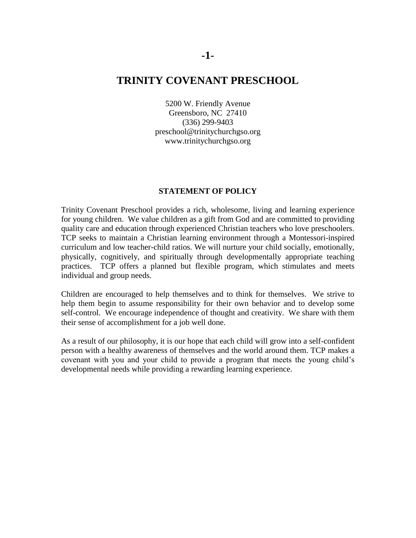# **TRINITY COVENANT PRESCHOOL**

5200 W. Friendly Avenue Greensboro, NC 27410 (336) 299-9403 preschool@trinitychurchgso.org www.trinitychurchgso.org

#### **STATEMENT OF POLICY**

Trinity Covenant Preschool provides a rich, wholesome, living and learning experience for young children. We value children as a gift from God and are committed to providing quality care and education through experienced Christian teachers who love preschoolers. TCP seeks to maintain a Christian learning environment through a Montessori-inspired curriculum and low teacher-child ratios. We will nurture your child socially, emotionally, physically, cognitively, and spiritually through developmentally appropriate teaching practices. TCP offers a planned but flexible program, which stimulates and meets individual and group needs.

Children are encouraged to help themselves and to think for themselves. We strive to help them begin to assume responsibility for their own behavior and to develop some self-control. We encourage independence of thought and creativity. We share with them their sense of accomplishment for a job well done.

As a result of our philosophy, it is our hope that each child will grow into a self-confident person with a healthy awareness of themselves and the world around them. TCP makes a covenant with you and your child to provide a program that meets the young child's developmental needs while providing a rewarding learning experience.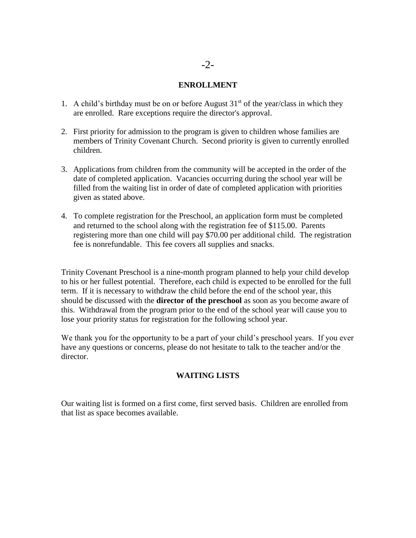## -2-

### **ENROLLMENT**

- 1. A child's birthday must be on or before August  $31<sup>st</sup>$  of the year/class in which they are enrolled. Rare exceptions require the director's approval.
- 2. First priority for admission to the program is given to children whose families are members of Trinity Covenant Church. Second priority is given to currently enrolled children.
- 3. Applications from children from the community will be accepted in the order of the date of completed application. Vacancies occurring during the school year will be filled from the waiting list in order of date of completed application with priorities given as stated above.
- 4. To complete registration for the Preschool, an application form must be completed and returned to the school along with the registration fee of \$115.00. Parents registering more than one child will pay \$70.00 per additional child. The registration fee is nonrefundable. This fee covers all supplies and snacks.

Trinity Covenant Preschool is a nine-month program planned to help your child develop to his or her fullest potential. Therefore, each child is expected to be enrolled for the full term. If it is necessary to withdraw the child before the end of the school year, this should be discussed with the **director of the preschool** as soon as you become aware of this. Withdrawal from the program prior to the end of the school year will cause you to lose your priority status for registration for the following school year.

We thank you for the opportunity to be a part of your child's preschool years. If you ever have any questions or concerns, please do not hesitate to talk to the teacher and/or the director.

## **WAITING LISTS**

Our waiting list is formed on a first come, first served basis. Children are enrolled from that list as space becomes available.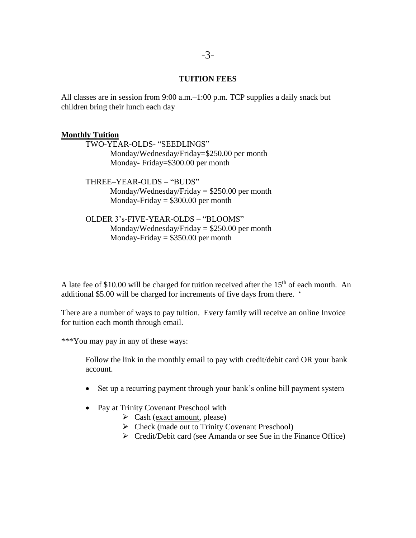#### **TUITION FEES**

All classes are in session from 9:00 a.m.–1:00 p.m. TCP supplies a daily snack but children bring their lunch each day

#### **Monthly Tuition**

TWO-YEAR-OLDS- "SEEDLINGS" Monday/Wednesday/Friday=\$250.00 per month Monday- Friday=\$300.00 per month

THREE–YEAR-OLDS – "BUDS" Monday/Wednesday/Friday  $= $250.00$  per month Monday-Friday  $= $300.00$  per month

OLDER 3's-FIVE-YEAR-OLDS – "BLOOMS" Monday/Wednesday/Friday = \$250.00 per month Monday-Friday  $= $350.00$  per month

A late fee of \$10.00 will be charged for tuition received after the  $15<sup>th</sup>$  of each month. An additional \$5.00 will be charged for increments of five days from there. '

There are a number of ways to pay tuition. Every family will receive an online Invoice for tuition each month through email.

\*\*\*You may pay in any of these ways:

Follow the link in the monthly email to pay with credit/debit card OR your bank account.

- Set up a recurring payment through your bank's online bill payment system
- Pay at Trinity Covenant Preschool with
	- $\triangleright$  Cash (exact amount, please)
	- Check (made out to Trinity Covenant Preschool)
	- $\triangleright$  Credit/Debit card (see Amanda or see Sue in the Finance Office)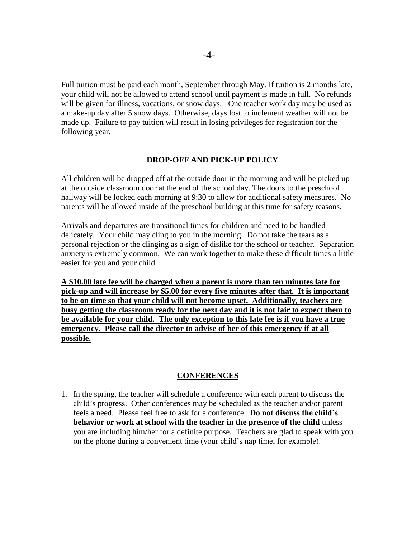Full tuition must be paid each month, September through May. If tuition is 2 months late, your child will not be allowed to attend school until payment is made in full. No refunds will be given for illness, vacations, or snow days. One teacher work day may be used as a make-up day after 5 snow days. Otherwise, days lost to inclement weather will not be made up. Failure to pay tuition will result in losing privileges for registration for the following year.

#### **DROP-OFF AND PICK-UP POLICY**

All children will be dropped off at the outside door in the morning and will be picked up at the outside classroom door at the end of the school day. The doors to the preschool hallway will be locked each morning at 9:30 to allow for additional safety measures. No parents will be allowed inside of the preschool building at this time for safety reasons.

Arrivals and departures are transitional times for children and need to be handled delicately. Your child may cling to you in the morning. Do not take the tears as a personal rejection or the clinging as a sign of dislike for the school or teacher. Separation anxiety is extremely common. We can work together to make these difficult times a little easier for you and your child.

**A \$10.00 late fee will be charged when a parent is more than ten minutes late for pick-up and will increase by \$5.00 for every five minutes after that. It is important to be on time so that your child will not become upset. Additionally, teachers are busy getting the classroom ready for the next day and it is not fair to expect them to be available for your child. The only exception to this late fee is if you have a true emergency. Please call the director to advise of her of this emergency if at all possible.**

### **CONFERENCES**

1. In the spring, the teacher will schedule a conference with each parent to discuss the child's progress. Other conferences may be scheduled as the teacher and/or parent feels a need. Please feel free to ask for a conference. **Do not discuss the child's behavior or work at school with the teacher in the presence of the child** unless you are including him/her for a definite purpose. Teachers are glad to speak with you on the phone during a convenient time (your child's nap time, for example).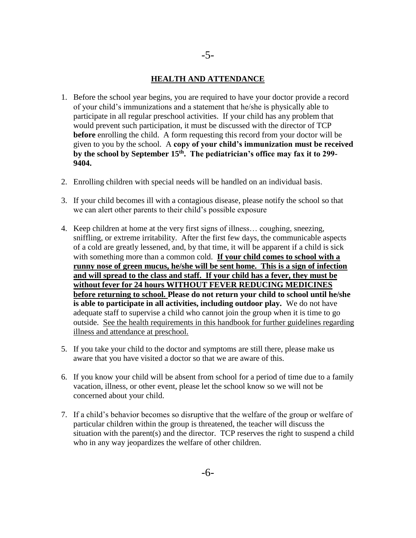#### **HEALTH AND ATTENDANCE**

- 1. Before the school year begins, you are required to have your doctor provide a record of your child's immunizations and a statement that he/she is physically able to participate in all regular preschool activities. If your child has any problem that would prevent such participation, it must be discussed with the director of TCP **before** enrolling the child. A form requesting this record from your doctor will be given to you by the school. A **copy of your child's immunization must be received by the school by September 15th . The pediatrician's office may fax it to 299- 9404.**
- 2. Enrolling children with special needs will be handled on an individual basis.
- 3. If your child becomes ill with a contagious disease, please notify the school so that we can alert other parents to their child's possible exposure
- 4. Keep children at home at the very first signs of illness… coughing, sneezing, sniffling, or extreme irritability. After the first few days, the communicable aspects of a cold are greatly lessened, and, by that time, it will be apparent if a child is sick with something more than a common cold. **If your child comes to school with a runny nose of green mucus, he/she will be sent home. This is a sign of infection and will spread to the class and staff. If your child has a fever, they must be without fever for 24 hours WITHOUT FEVER REDUCING MEDICINES before returning to school. Please do not return your child to school until he/she is able to participate in all activities, including outdoor play.** We do not have adequate staff to supervise a child who cannot join the group when it is time to go outside. See the health requirements in this handbook for further guidelines regarding illness and attendance at preschool.
- 5. If you take your child to the doctor and symptoms are still there, please make us aware that you have visited a doctor so that we are aware of this.
- 6. If you know your child will be absent from school for a period of time due to a family vacation, illness, or other event, please let the school know so we will not be concerned about your child.
- 7. If a child's behavior becomes so disruptive that the welfare of the group or welfare of particular children within the group is threatened, the teacher will discuss the situation with the parent(s) and the director. TCP reserves the right to suspend a child who in any way jeopardizes the welfare of other children.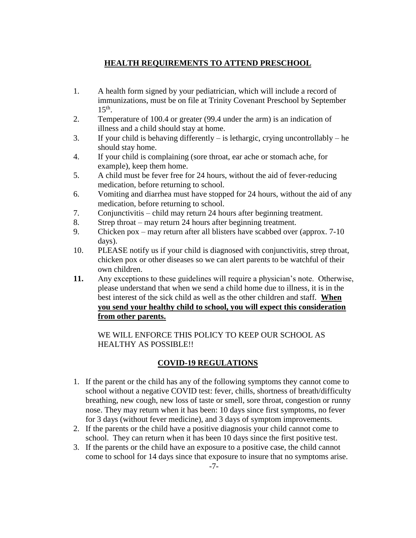## **HEALTH REQUIREMENTS TO ATTEND PRESCHOOL**

- 1. A health form signed by your pediatrician, which will include a record of immunizations, must be on file at Trinity Covenant Preschool by September  $15<sup>th</sup>$ .
- 2. Temperature of 100.4 or greater (99.4 under the arm) is an indication of illness and a child should stay at home.
- 3. If your child is behaving differently is lethargic, crying uncontrollably he should stay home.
- 4. If your child is complaining (sore throat, ear ache or stomach ache, for example), keep them home.
- 5. A child must be fever free for 24 hours, without the aid of fever-reducing medication, before returning to school.
- 6. Vomiting and diarrhea must have stopped for 24 hours, without the aid of any medication, before returning to school.
- 7. Conjunctivitis child may return 24 hours after beginning treatment.
- 8. Strep throat may return 24 hours after beginning treatment.
- 9. Chicken pox may return after all blisters have scabbed over (approx. 7-10 days).
- 10. PLEASE notify us if your child is diagnosed with conjunctivitis, strep throat, chicken pox or other diseases so we can alert parents to be watchful of their own children.
- **11.** Any exceptions to these guidelines will require a physician's note. Otherwise, please understand that when we send a child home due to illness, it is in the best interest of the sick child as well as the other children and staff. **When you send your healthy child to school, you will expect this consideration from other parents.**

WE WILL ENFORCE THIS POLICY TO KEEP OUR SCHOOL AS HEALTHY AS POSSIBLE!!

## **COVID-19 REGULATIONS**

- 1. If the parent or the child has any of the following symptoms they cannot come to school without a negative COVID test: fever, chills, shortness of breath/difficulty breathing, new cough, new loss of taste or smell, sore throat, congestion or runny nose. They may return when it has been: 10 days since first symptoms, no fever for 3 days (without fever medicine), and 3 days of symptom improvements.
- 2. If the parents or the child have a positive diagnosis your child cannot come to school. They can return when it has been 10 days since the first positive test.
- 3. If the parents or the child have an exposure to a positive case, the child cannot come to school for 14 days since that exposure to insure that no symptoms arise.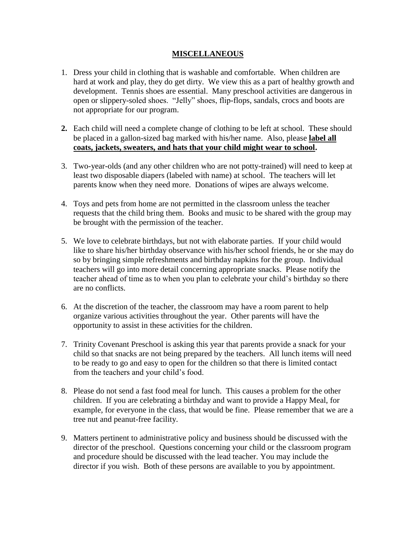### **MISCELLANEOUS**

- 1. Dress your child in clothing that is washable and comfortable. When children are hard at work and play, they do get dirty. We view this as a part of healthy growth and development. Tennis shoes are essential. Many preschool activities are dangerous in open or slippery-soled shoes. "Jelly" shoes, flip-flops, sandals, crocs and boots are not appropriate for our program.
- **2.** Each child will need a complete change of clothing to be left at school. These should be placed in a gallon-sized bag marked with his/her name. Also, please **label all coats, jackets, sweaters, and hats that your child might wear to school.**
- 3. Two-year-olds (and any other children who are not potty-trained) will need to keep at least two disposable diapers (labeled with name) at school. The teachers will let parents know when they need more. Donations of wipes are always welcome.
- 4. Toys and pets from home are not permitted in the classroom unless the teacher requests that the child bring them. Books and music to be shared with the group may be brought with the permission of the teacher.
- 5. We love to celebrate birthdays, but not with elaborate parties. If your child would like to share his/her birthday observance with his/her school friends, he or she may do so by bringing simple refreshments and birthday napkins for the group. Individual teachers will go into more detail concerning appropriate snacks. Please notify the teacher ahead of time as to when you plan to celebrate your child's birthday so there are no conflicts.
- 6. At the discretion of the teacher, the classroom may have a room parent to help organize various activities throughout the year. Other parents will have the opportunity to assist in these activities for the children.
- 7. Trinity Covenant Preschool is asking this year that parents provide a snack for your child so that snacks are not being prepared by the teachers. All lunch items will need to be ready to go and easy to open for the children so that there is limited contact from the teachers and your child's food.
- 8. Please do not send a fast food meal for lunch. This causes a problem for the other children. If you are celebrating a birthday and want to provide a Happy Meal, for example, for everyone in the class, that would be fine. Please remember that we are a tree nut and peanut-free facility.
- 9. Matters pertinent to administrative policy and business should be discussed with the director of the preschool. Questions concerning your child or the classroom program and procedure should be discussed with the lead teacher. You may include the director if you wish. Both of these persons are available to you by appointment.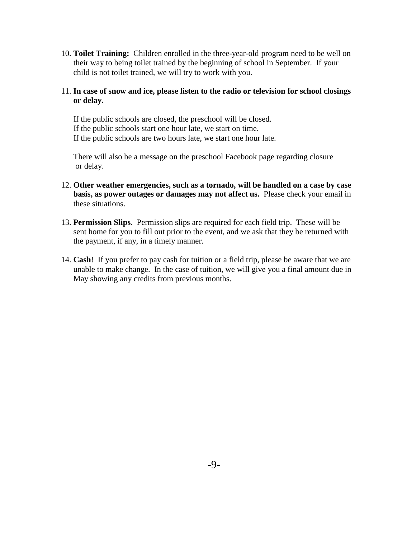10. **Toilet Training:** Children enrolled in the three-year-old program need to be well on their way to being toilet trained by the beginning of school in September. If your child is not toilet trained, we will try to work with you.

## 11. **In case of snow and ice, please listen to the radio or television for school closings or delay.**

 If the public schools are closed, the preschool will be closed. If the public schools start one hour late, we start on time. If the public schools are two hours late, we start one hour late.

 There will also be a message on the preschool Facebook page regarding closure or delay.

- 12. **Other weather emergencies, such as a tornado, will be handled on a case by case basis, as power outages or damages may not affect us.** Please check your email in these situations.
- 13. **Permission Slips**. Permission slips are required for each field trip. These will be sent home for you to fill out prior to the event, and we ask that they be returned with the payment, if any, in a timely manner.
- 14. **Cash**! If you prefer to pay cash for tuition or a field trip, please be aware that we are unable to make change. In the case of tuition, we will give you a final amount due in May showing any credits from previous months.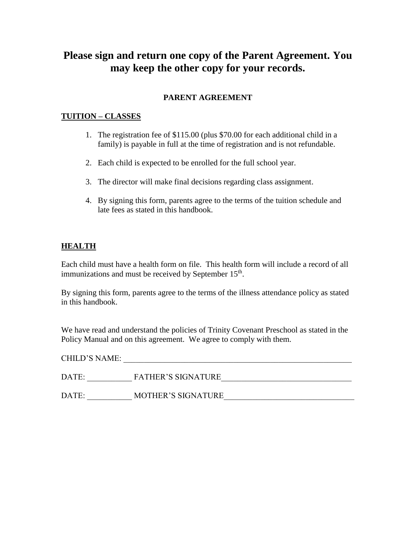# **Please sign and return one copy of the Parent Agreement. You may keep the other copy for your records.**

## **PARENT AGREEMENT**

# **TUITION – CLASSES**

- 1. The registration fee of \$115.00 (plus \$70.00 for each additional child in a family) is payable in full at the time of registration and is not refundable.
- 2. Each child is expected to be enrolled for the full school year.
- 3. The director will make final decisions regarding class assignment.
- 4. By signing this form, parents agree to the terms of the tuition schedule and late fees as stated in this handbook.

## **HEALTH**

Each child must have a health form on file. This health form will include a record of all immunizations and must be received by September 15<sup>th</sup>.

By signing this form, parents agree to the terms of the illness attendance policy as stated in this handbook.

We have read and understand the policies of Trinity Covenant Preschool as stated in the Policy Manual and on this agreement. We agree to comply with them.

| CHILD'S NAME: |                           |
|---------------|---------------------------|
| DATE:         | <b>FATHER'S SIGNATURE</b> |
| DATE:         | <b>MOTHER'S SIGNATURE</b> |